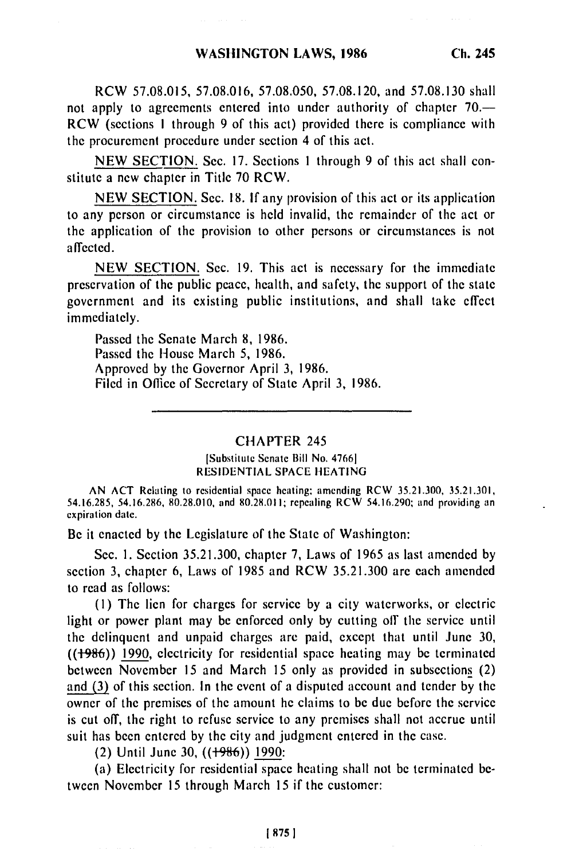**Ch. 245**

not apply to agreements entered into under authority of chapter 70.— RCW (sections I through 9 of this act) provided there is compliance with the procurement procedure under section 4 of this act.

NEW SECTION. Sec. 17. Sections 1 through 9 of this act shall constitute a new chapter in Title 70 RCW.

NEW SECTION. Sec. **18.** If any provision of this act or its application to any person or circumstance is held invalid, the remainder of the act or the application of the provision to other persons or circumstances is not affected.

NEW SECTION. Sec. 19. This act is necessary for the immediate preservation of the public peace, health, and safety, the support of the state government and its existing public institutions, and shall take effect immediately.

Passed the Senate March 8, 1986. Passed the House March 5, 1986. Approved by the Governor April 3, 1986. Filed in Office of Secretary of State April 3, 1986.

## CHAPTER 245

## [Substitute Senate Bill No. **47661 RESIDENTIAL SPACE HEATING**

**AN ACT** Relating to residential space heating, amending RCW **35.21.300, 35.21.301, 54.16.285, 54.16.286, 80.28.010, and 80.28.011;** repealing RCW 54.16.290; and providing an expiration date.

Be it enacted by the Legislature of the State of Washington:

Sec. **1.** Section 35.21.300, chapter 7, Laws of 1965 as last amended by section 3, chapter 6, Laws of 1985 and RCW 35.21.300 are each amended to read as follows:

**(1)** The lien for charges for service by a city waterworks, or electric light or power plant may be enforced only by cutting off the service until the delinquent and unpaid charges are paid, except that until June 30, **((+996))** 1990, electricity for residential space heating may be terminated between November 15 and March 15 only as provided in subsections (2) and (3) of this section. In the event of a disputed account and tender by the owner of the premises of the amount he claims to be due before the service is cut off, the right to refuse service to any premises shall not accrue until suit has been entered by the city and judgment entered in the case.

(2) Until June 30, **((+96))** 1990:

(a) Electricity for residential space heating shall not be terminated between November **15** through March 15 if the customer: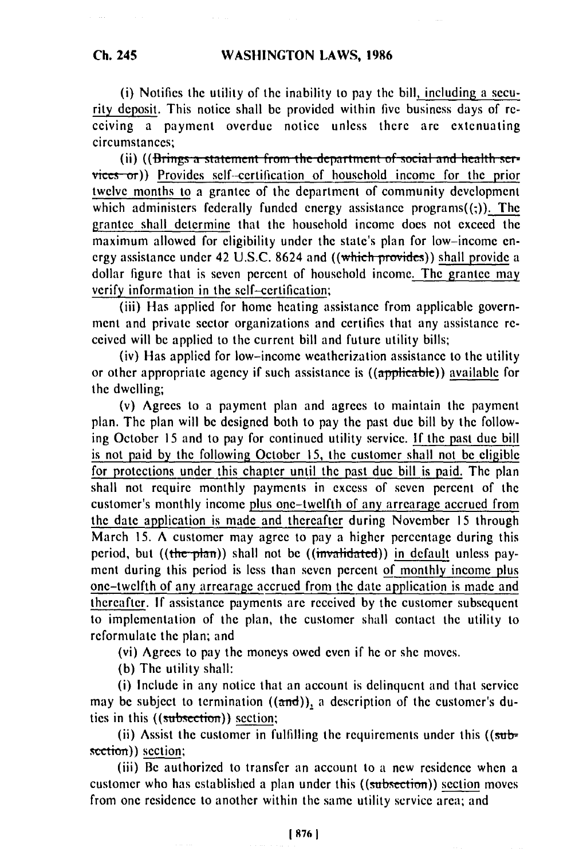(i) Notifies the utility of the inability to pay the bill, including a security deposit. This notice shall be provided within five business days of receiving a payment overdue notice unless there are extenuating circumstances;

(ii) ((Brings a statement from the department of social and health services or)) Provides self-certification of household income for the prior twelve months to a grantee of the department of community development which administers federally funded energy assistance programs $((.)$ . The grantee shall determine that the household income does not exceed the maximum allowed for eligibility under the state's plan for low-income energy assistance under 42 U.S.C. 8624 and ((which provides)) shall provide a dollar figure that is seven percent of household income. The grantee may verify information in the self-certification;

(iii) Has applied for home heating assistance from applicable government and private sector organizations and certifies that any assistance received will be applied to the current bill and future utility bills;

(iv) Has applied for low-income weatherization assistance to the utility or other appropriate agency if such assistance is ((applicable)) available for the dwelling;

(v) Agrees to a payment plan and agrees to maintain the payment plan. The plan will be designed both to pay the past due bill by the following October 15 and to pay for continued utility service. **If** the past due bill is not paid by the following October **15,** the customer shall not be eligible for protections under this chapter until the past due bill is paid. The plan shall not require monthly payments in excess of seven percent of the customer's monthly income plus one-twelfth of any arrearage accrued from the date application is made and thereafter during November **15** through March 15. A customer may agree to pay a higher percentage during this period, but ((the plan)) shall not be ((invalidated)) in default unless payment during this period is less than seven percent of monthly income plus one-twelfth of any arrearage accrued from the date application is made and thereafter. If assistance payments are received by the customer subsequent to implementation of the plan, the customer shall contact the utility to reformulate the plan; and

(vi) Agrees to pay the moneys owed even if he or she moves.

(b) The utility shall:

(i) Include in any notice that an account is delinquent and that service may be subject to termination  $((\text{and}))_1$  a description of the customer's duties in this ((subsection)) section;

(ii) Assist the customer in fulfilling the requirements under this  $((\overline{\text{sub}}$ section)) section;

(iii) Be authorized to transfer an account to a new residence when a customer who has established a plan under this ((subsection)) section moves from one residence to another within the same utility service area; and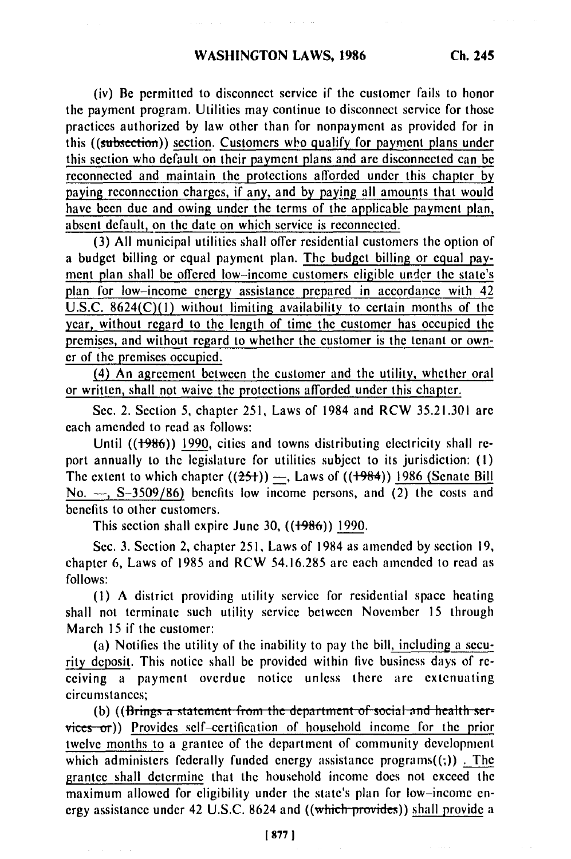(iv) Be permitted to disconnect service if the customer fails to honor the payment program. Utilities may continue to disconnect service for those practices authorized by law other than for nonpayment as provided for in this ((subsection)) section. Customers who qualify for payment plans under this section who default on their payment plans and are disconnected can be reconnected and maintain the protections afforded under this chapter by paying reconnection charges, if any, and by paying all amounts that would have been due and owing under the terms of the applicable payment plan, absent default, on the date on which service is reconnected.

**(3)** All municipal utilities shall offer residential customers the option of a budget billing or equal payment plan. The budget billing or equal payment plan shall be offered low-income customers eligible under the state's plan for low-income energy assistance prepared in accordance with 42 U.S.C. 8624(C)(1) without limiting availability to certain months of the year, without regard to the length of time the customer has occupied the premises, and without regard to whether the customer is the tenant or owner of the premises occupied.

(4) An agreement between the customer and the utility, whether oral or written, shall not waive the protections afforded under this chapter.

Sec. 2. Section 5, chapter 251, Laws of 1984 and RCW 35.21.301 are each amended to read as follows:

Until ((1986)) 1990, cities and towns distributing electricity shall report annually to the legislature for utilities subject to its jurisdiction: (I) The extent to which chapter  $((25+)$  —, Laws of  $((1984))$  1986 (Senate Bill No. **-,** S-3509/86) benefits low income persons, and (2) the costs and benefits to other customers.

This section shall expire June 30,  $((1986))$  1990.

Sec. 3. Section 2, chapter 251, Laws of 1984 as amended by section **19,** chapter 6, Laws of 1985 and RCW 54.16.285 are each amended to read as follows:

**(1)** A district providing utility service for residential space heating shall not terminate such utility service between November 15 through March 15 if the customer:

(a) Notifies the utility of the inability to pay the bill, including a security deposit. This notice shall be provided within five business days of receiving a payment overdue notice unless there are extenuating circumstances;

(b) ((Brings a statement from the department of social and health ser $vices$  or)) Provides self-certification of household income for the prior twelve months to a grantee of the department of community development which administers federally funded energy assistance programs $((;))$ . The grantee shall determine that the household income does not exceed the maximum allowed for eligibility under the state's plan for low-income energy assistance under 42 U.S.C. 8624 and ((which-provides)) shall provide a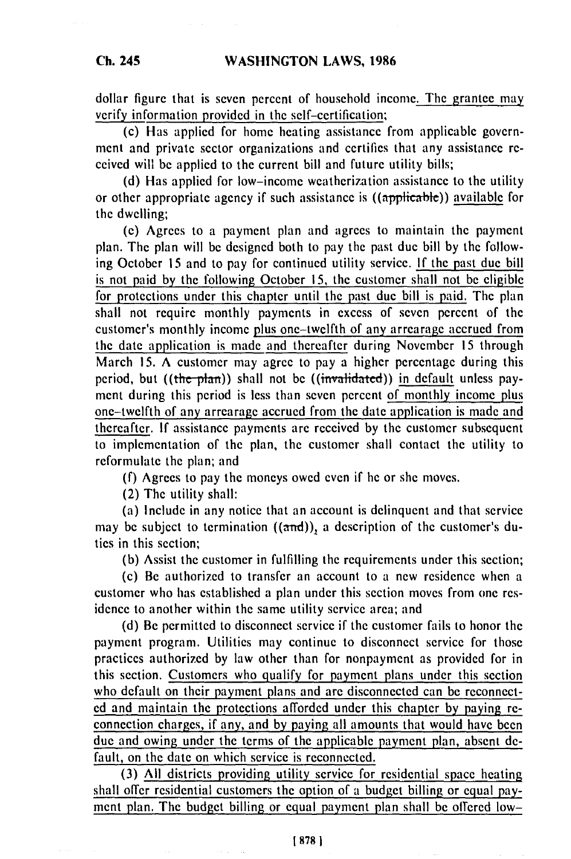**Ch. 245**

dollar figure that is seven percent of household income. **The** grantee may verify information provided in the self-certification;

(c) Has applied for home heating assistance from applicable government and private sector organizations and certifies that any assistance received will **be** applied to the current bill and future utility bills;

**(d)** Has applied for low-income weatherization assistance to **the** utility or other appropriate agency if such assistance is ((applica-ble)) available for the dwelling;

**(e)** Agrees to a payment plan and agrees to maintain the payment plan. The plan will **be** designed both to pay the past due bill **by** the following October **15** and to pay for continued utility service. **If** the past due bill is not paid **by** the following October **15,** the customer shall not **be eligible** for protections under this chapter until the past due bill is paid. The plan shall not require monthly payments in excess of seven percent of the customer's monthly income plus one-twelfth of any arrearage accrued from the date application is made and thereafter during November **15** through March **15. A** customer may agree to pay a higher percentage during this period, but ((the plan)) shall not be ((invalidated)) in default unless payment during this period is less than seven percent of monthly income plus one-twelfth of any arrearage accrued from the date application is made and thereafter. **If** assistance payments **are** received **by** the customer subsequent to implementation of the plan, the customer shall contact the utility to reformulate the plan; and

**(f)** Agrees to pay the moneys owed even if he or she moves.

(2) The utility shall:

(a) Include in any notice that an account is delinquent and that service may be subject to termination  $((and))_1$  a description of the customer's duties in this section;

**(b)** Assist the customer in fulfilling the requirements under this section;

(c) Be authorized to transfer an account to a new residence when a customer who has established a plan under this section moves from one residence to another within the same utility service area; and

**(d)** Be permitted to disconnect service if the customer fails to honor the payment program. Utilities may continue to disconnect service for those practices authorized **by** law other than for nonpayment as provided for in this section. Customers who qualify for payment plans under this section who default on their payment plans and **arc** disconnected can **be** reconnect**ed** and maintain the protections afforded under this chapter **by** paying reconnection charges, if any, and **by** paying all amounts that would have been due and owing under the terms of the applicable payment plan, absent **de**fault, on the date on which service is reconnected.

**(3) All** districts providing utility service for residential space heating shall offer residential customers the option of a budget billing or equal pay**ment** plan. The budget billing or equal payment plan shall **be** offered low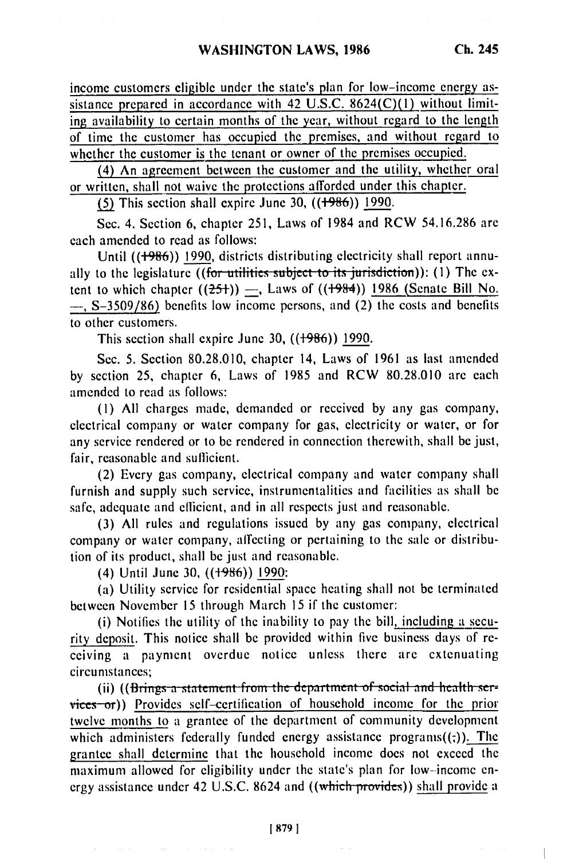income customers eligible under the state's plan for low-income energy assistance prepared in accordance with 42 **U.S.C.** 8624(C)(1) without limiting availability to certain months of the year, without regard to the length of time the customer has occupied the premises, and without regard to whether the customer is the tenant or owner of the premises occupied.

(4) An agreement between the customer and the utility, whether oral or written, shall not waive the protections afforded under this chapter.

**(5) This section shall expire June 30, ((+986)) 1990.** 

Sec. 4. Section 6, chapter 251, Laws of 1984 and RCW 54.16.286 are each amended to read as follows:

Until ((+986)) 1990, districts distributing electricity shall report annually to the legislature ((for utilities subject to its jurisdiction)): (1) The extent to which chapter  $((25+)$  –, Laws of  $((1984))$  1986 (Senate Bill No. **-,** S-3509/86) benefits low income persons, and (2) the costs and benefits to other customers.

This section shall expire June 30,  $((1986))$  1990.

Sec. 5. Section 80.28.010, chapter 14, Laws of 1961 as last amended by section 25, chapter 6, Laws of 1985 and RCW 80.28.010 are each amended to read as follows:

(I) All charges made, demanded or received by any gas company, electrical company or water company for gas, electricity or water, or for any service rendered or to be rendered in connection therewith, shall be just, fair, reasonable and sufficient.

(2) Every gas company, electrical company and water company shall furnish and supply such service, instrumentalities and facilities as shall be safe, adequate and efficient, and in all respects just and reasonable.

(3) All rules and regulations issued by any gas company, electrical company or water company, affecting or pertaining to the sale or distribution of its product, shall be just and reasonable.

(4) Until June 30, ((+986)) 1990:

(a) Utility service for residential space heating shall not be terminated between November 15 through March 15 if the customer:

(i) Notifies the utility of the inability to pay the bill, including a security deposit. This notice shall be provided within five business days of receiving a payment overdue notice unless there are extenuating circumstances;

(ii) ((Brings a statement from the department of social and health ser $vices$ -or)) Provides self-certification of household income for the prior twelve months to a grantee of the department of community development which administers federally funded energy assistance programs $((z))$ . The grantee shall determine that the household income does not exceed the maximum allowed for eligibility under the state's plan for low--income energy assistance under 42 U.S.C. 8624 and ((which provides)) shall provide a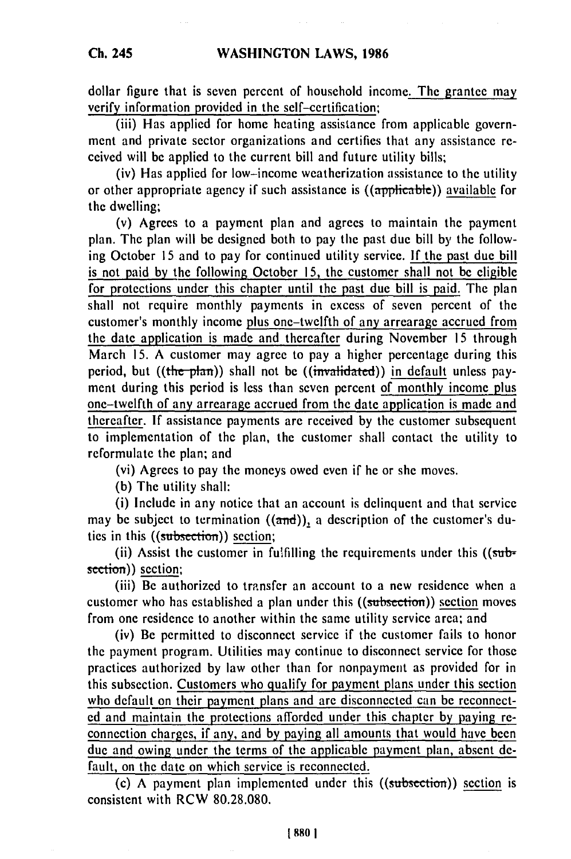dollar figure that is seven percent of household income. The grantee may verify information provided in the self-certification;

(iii) Has applied for home heating assistance from applicable government and private sector organizations and certifies that any assistance received will be applied to the current bill and future utility bills,

(iv) Has applied for low-income weatherization assistance to the utility or other appropriate agency if such assistance is ((applicable)) available for the dwelling;

(v) Agrees to a payment plan and agrees to maintain the payment plan. The plan will be designed both to pay the past due bill by the following October 15 and to pay for continued utility service. **If** the past due bill is not paid by the following October 15, the customer shall not be eligible for protections under this chapter until the past due bill is paid. The plan shall not require monthly payments in excess of seven percent of the customer's monthly income plus one-twelfth of any arrearage accrued from the date application is made and thereafter during November 15 through March 15. A customer may agree to pay a higher percentage during this period, but ((the plan)) shall not be ((invalidated)) in default unless payment during this period is less than seven percent of monthly income plus one-twelfth of any arrearage accrued from the date application is made and thereafter. If assistance payments are received by the customer subsequent to implementation of the plan, the customer shall contact the utility to reformulate the plan; and

(vi) Agrees to pay the moneys owed even if he or she moves.

(b) The utility shall:

(i) Include in any notice that an account is delinquent and that service may be subject to termination  $((and))_2$  a description of the customer's duties in this ((subsection)) section;

(ii) Assist the customer in fulfilling the requirements under this ((subsection)) section;

(iii) Be authorized to transfer an account to a new residence when a customer who has established a plan under this ((subsection)) section moves from one residence to another within the same utility service area; and

(iv) Be permitted to disconnect service if the customer fails to honor the payment program. Utilities may continue to disconnect service for those practices authorized by law other than for nonpayment as provided for in this subsection. Customers who qualify for payment plans under this section who default on their payment plans and are disconnected can be reconnected and maintain the protections afforded under this chapter by paying reconnection charges, if any, and **by** paying all amounts that would have been due and owing under the terms of the applicable payment plan, absent default, on the date on which service is reconnected.

(c) A payment plan implemented under this ((subsection)) section is consistent with RCW 80.28.080.